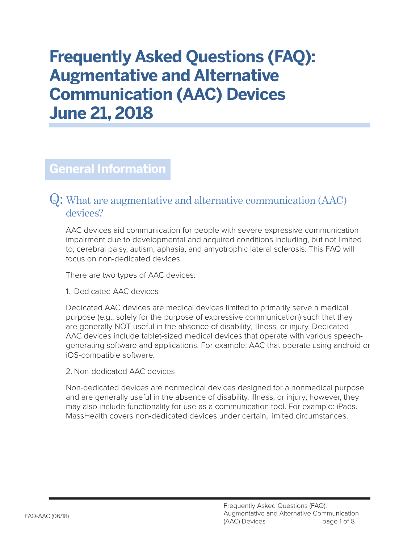# **Frequently Asked Questions (FAQ): Augmentative and Alternative Communication (AAC) Devices June 21, 2018**

### **General Information**

#### Q: What are augmentative and alternative communication (AAC) devices?

AAC devices aid communication for people with severe expressive communication impairment due to developmental and acquired conditions including, but not limited to, cerebral palsy, autism, aphasia, and amyotrophic lateral sclerosis. This FAQ will focus on non-dedicated devices.

There are two types of AAC devices:

1. Dedicated AAC devices

Dedicated AAC devices are medical devices limited to primarily serve a medical purpose (e.g., solely for the purpose of expressive communication) such that they are generally NOT useful in the absence of disability, illness, or injury. Dedicated AAC devices include tablet-sized medical devices that operate with various speechgenerating software and applications. For example: AAC that operate using android or iOS-compatible software.

2. Non-dedicated AAC devices

Non-dedicated devices are nonmedical devices designed for a nonmedical purpose and are generally useful in the absence of disability, illness, or injury; however, they may also include functionality for use as a communication tool. For example: iPads. MassHealth covers non-dedicated devices under certain, limited circumstances.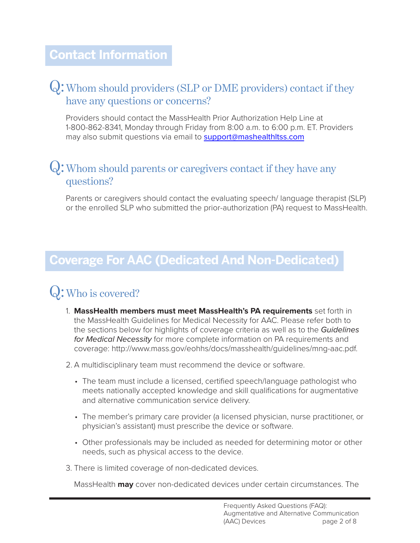### Q: Whom should providers (SLP or DME providers) contact if they have any questions or concerns?

Providers should contact the MassHealth Prior Authorization Help Line at 1-800-862-8341, Monday through Friday from 8:00 a.m. to 6:00 p.m. ET. Providers may also submit questions via email to support@mashealthitss.com

#### Q: Whom should parents or caregivers contact if they have any questions?

Parents or caregivers should contact the evaluating speech/ language therapist (SLP) or the enrolled SLP who submitted the prior-authorization (PA) request to MassHealth.

### **Coverage For AAC (Dedicated And Non-Dedicated)**

# Q:Who is covered?

- 1. **MassHealth members must meet MassHealth's PA requirements** set forth in the MassHealth Guidelines for Medical Necessity for AAC. Please refer both to the sections below for highlights of coverage criteria as well as to the *Guidelines for Medical Necessity* for more complete information on PA requirements and coverage: [http://www.mass.gov/eohhs/docs/masshealth/guidelines/mng-aac.pdf.](http://www.mass.gov/eohhs/docs/masshealth/guidelines/mng-aac.pdf)
- 2. A multidisciplinary team must recommend the device or software.
	- The team must include a licensed, certified speech/language pathologist who meets nationally accepted knowledge and skill qualifications for augmentative and alternative communication service delivery.
	- The member's primary care provider (a licensed physician, nurse practitioner, or physician's assistant) must prescribe the device or software.
	- Other professionals may be included as needed for determining motor or other needs, such as physical access to the device.
- 3. There is limited coverage of non-dedicated devices.

MassHealth **may** cover non-dedicated devices under certain circumstances. The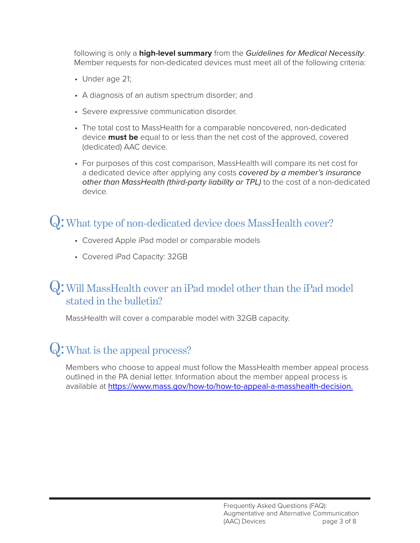following is only a **high-level summary** from the *Guidelines for Medical Necessity*. Member requests for non-dedicated devices must meet all of the following criteria:

- Under age 21;
- A diagnosis of an autism spectrum disorder; and
- Severe expressive communication disorder.
- The total cost to MassHealth for a comparable noncovered, non-dedicated device **must be** equal to or less than the net cost of the approved, covered (dedicated) AAC device.
- For purposes of this cost comparison, MassHealth will compare its net cost for a dedicated device after applying any costs *covered by a member's insurance other than MassHealth (third-party liability or TPL)* to the cost of a non-dedicated device.

### Q: What type of non-dedicated device does MassHealth cover?

- Covered Apple iPad model or comparable models
- Covered iPad Capacity: 32GB

### Q: Will MassHealth cover an iPad model other than the iPad model stated in the bulletin?

MassHealth will cover a comparable model with 32GB capacity.

# Q:What is the appeal process?

Members who choose to appeal must follow the MassHealth member appeal process outlined in the PA denial letter. Information about the member appeal process is available at [https://www.mass.gov/how-to/how-to-appeal-a-masshealth-decision.](https://www.mass.gov/how-to/how-to-appeal-a-masshealth-decision)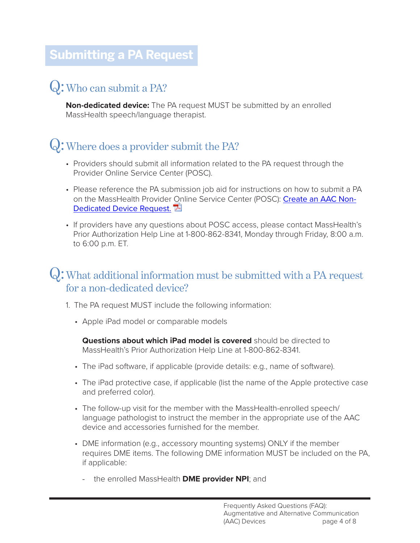# **Submitting a PA Request**

# Q:Who can submit a PA?

**Non-dedicated device:** The PA request MUST be submitted by an enrolled MassHealth speech/language therapist.

# Q:Where does a provider submit the PA?

- Providers should submit all information related to the PA request through the Provider Online Service Center (POSC).
- Please reference the PA submission job aid for instructions on how to submit a PA on the MassHealth Provider [On](http://www.mass.gov/eohhs/docs/masshealth/provlibrary/pocs-job-aids/create-aac-non-dedicated-device-request.pdf)line Service Center (POSC): [Create an AAC Non-](http://www.mass.gov/eohhs/docs/masshealth/provlibrary/pocs-job-aids/create-aac-non-dedicated-device-request.pdf)[Dedicated Device Request.](http://www.mass.gov/eohhs/docs/masshealth/provlibrary/pocs-job-aids/create-aac-non-dedicated-device-request.pdf)  $\mathbb{E}$
- If providers have any questions about POSC access, please contact MassHealth's Prior Authorization Help Line at 1-800-862-8341, Monday through Friday, 8:00 a.m. to 6:00 p.m. ET.

#### Q: What additional information must be submitted with a PA request for a non-dedicated device?

- 1. The PA request MUST include the following information:
	- Apple iPad model or comparable models

**Questions about which iPad model is covered** should be directed to MassHealth's Prior Authorization Help Line at 1-800-862-8341.

- The iPad software, if applicable (provide details: e.g., name of software).
- The iPad protective case, if applicable (list the name of the Apple protective case and preferred color).
- The follow-up visit for the member with the MassHealth-enrolled speech/ language pathologist to instruct the member in the appropriate use of the AAC device and accessories furnished for the member.
- DME information (e.g., accessory mounting systems) ONLY if the member requires DME items. The following DME information MUST be included on the PA, if applicable:
	- the enrolled MassHealth **DME provider NPI**; and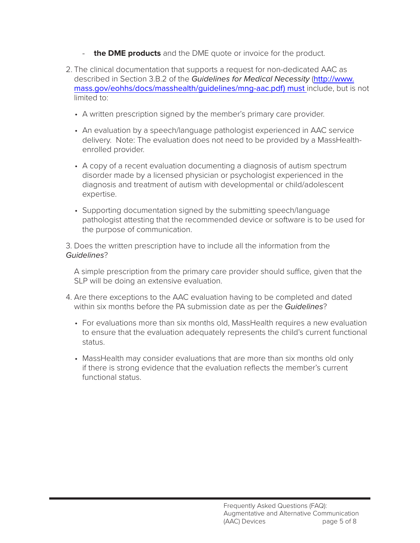- **the DME products** and the DME quote or invoice for the product.
- 2. The clinical documentation that supports a request for non-dedicated AAC as described in Section 3.B.2 of the *Guidelines for Medical Necessity* ([http://www.](http://www.mass.gov/eohhs/docs/masshealth/guidelines/mng-aac.pdf) [mass.gov/eohhs/docs/masshealth/guidelines/mng-aac.pdf\)](http://www.mass.gov/eohhs/docs/masshealth/guidelines/mng-aac.pdf) must include, but is not limited to:
	- A written prescription signed by the member's primary care provider.
	- An evaluation by a speech/language pathologist experienced in AAC service delivery. Note: The evaluation does not need to be provided by a MassHealthenrolled provider.
	- A copy of a recent evaluation documenting a diagnosis of autism spectrum disorder made by a licensed physician or psychologist experienced in the diagnosis and treatment of autism with developmental or child/adolescent expertise.
	- Supporting documentation signed by the submitting speech/language pathologist attesting that the recommended device or software is to be used for the purpose of communication.

3. Does the written prescription have to include all the information from the *Guidelines*?

A simple prescription from the primary care provider should suffice, given that the SLP will be doing an extensive evaluation.

- 4. Are there exceptions to the AAC evaluation having to be completed and dated within six months before the PA submission date as per the *Guidelines*?
	- For evaluations more than six months old, MassHealth requires a new evaluation to ensure that the evaluation adequately represents the child's current functional status.
	- MassHealth may consider evaluations that are more than six months old only if there is strong evidence that the evaluation reflects the member's current functional status.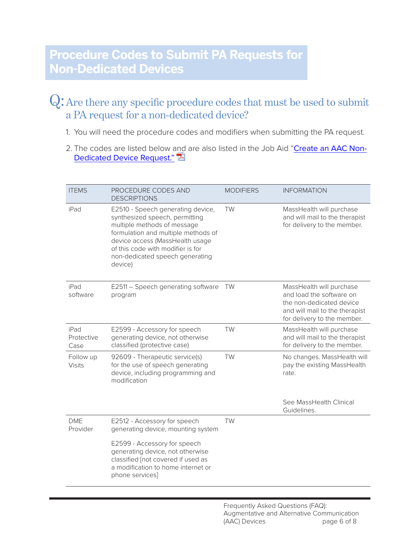#### Q: Are there any specific procedure codes that must be used to submit a PA request for a non-dedicated device?

- 1. You will need the procedure codes and modifiers when submitting the PA request.
- 2. The codes are listed below a[nd](http://www.mass.gov/eohhs/docs/masshealth/provlibrary/pocs-job-aids/create-aac-non-dedicated-device-request.pdf) are also listed in the Job Aid "[Create an AAC Non-](http://www.mass.gov/eohhs/docs/masshealth/provlibrary/pocs-job-aids/create-aac-non-dedicated-device-request.pdf)[Dedicated Device Request."](http://www.mass.gov/eohhs/docs/masshealth/provlibrary/pocs-job-aids/create-aac-non-dedicated-device-request.pdf)

| <b>ITEMS</b>               | PROCEDURE CODES AND<br><b>DESCRIPTIONS</b>                                                                                                                                                                                                                      | <b>MODIFIERS</b> | <b>INFORMATION</b>                                                                                                                                |
|----------------------------|-----------------------------------------------------------------------------------------------------------------------------------------------------------------------------------------------------------------------------------------------------------------|------------------|---------------------------------------------------------------------------------------------------------------------------------------------------|
| iPad                       | E2510 - Speech generating device,<br>synthesized speech, permitting<br>multiple methods of message<br>formulation and multiple methods of<br>device access (MassHealth usage<br>of this code with modifier is for<br>non-dedicated speech generating<br>device) | TW               | MassHealth will purchase<br>and will mail to the therapist<br>for delivery to the member.                                                         |
| iPad<br>software           | E2511 - Speech generating software<br>program                                                                                                                                                                                                                   | TW               | MassHealth will purchase<br>and load the software on<br>the non-dedicated device<br>and will mail to the therapist<br>for delivery to the member. |
| iPad<br>Protective<br>Case | E2599 - Accessory for speech<br>generating device, not otherwise<br>classified (protective case)                                                                                                                                                                | TW               | MassHealth will purchase<br>and will mail to the therapist<br>for delivery to the member.                                                         |
| Follow up<br><b>Visits</b> | 92609 - Therapeutic service(s)<br>for the use of speech generating<br>device, including programming and<br>modification                                                                                                                                         | TW               | No changes. MassHealth will<br>pay the existing MassHealth<br>rate.                                                                               |
|                            |                                                                                                                                                                                                                                                                 |                  | See MassHealth Clinical<br>Guidelines.                                                                                                            |
| <b>DME</b><br>Provider     | E2512 - Accessory for speech<br>generating device, mounting system                                                                                                                                                                                              | <b>TW</b>        |                                                                                                                                                   |
|                            | E2599 - Accessory for speech<br>generating device, not otherwise<br>classified [not covered if used as<br>a modification to home internet or<br>phone services]                                                                                                 |                  |                                                                                                                                                   |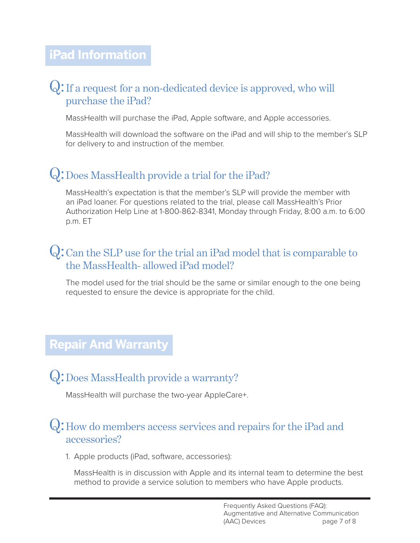### **iPad Information**

#### Q: If a request for a non-dedicated device is approved, who will purchase the iPad?

MassHealth will purchase the iPad, Apple software, and Apple accessories.

MassHealth will download the software on the iPad and will ship to the member's SLP for delivery to and instruction of the member.

### Q:Does MassHealth provide a trial for the iPad?

MassHealth's expectation is that the member's SLP will provide the member with an iPad loaner. For questions related to the trial, please call MassHealth's Prior Authorization Help Line at 1-800-862-8341, Monday through Friday, 8:00 a.m. to 6:00 p.m. ET

### Q: Can the SLP use for the trial an iPad model that is comparable to the MassHealth- allowed iPad model?

The model used for the trial should be the same or similar enough to the one being requested to ensure the device is appropriate for the child.

### **Repair And Warranty**

### Q:Does MassHealth provide a warranty?

MassHealth will purchase the two-year AppleCare+.

#### Q: How do members access services and repairs for the iPad and accessories?

1. Apple products (iPad, software, accessories):

MassHealth is in discussion with Apple and its internal team to determine the best method to provide a service solution to members who have Apple products.